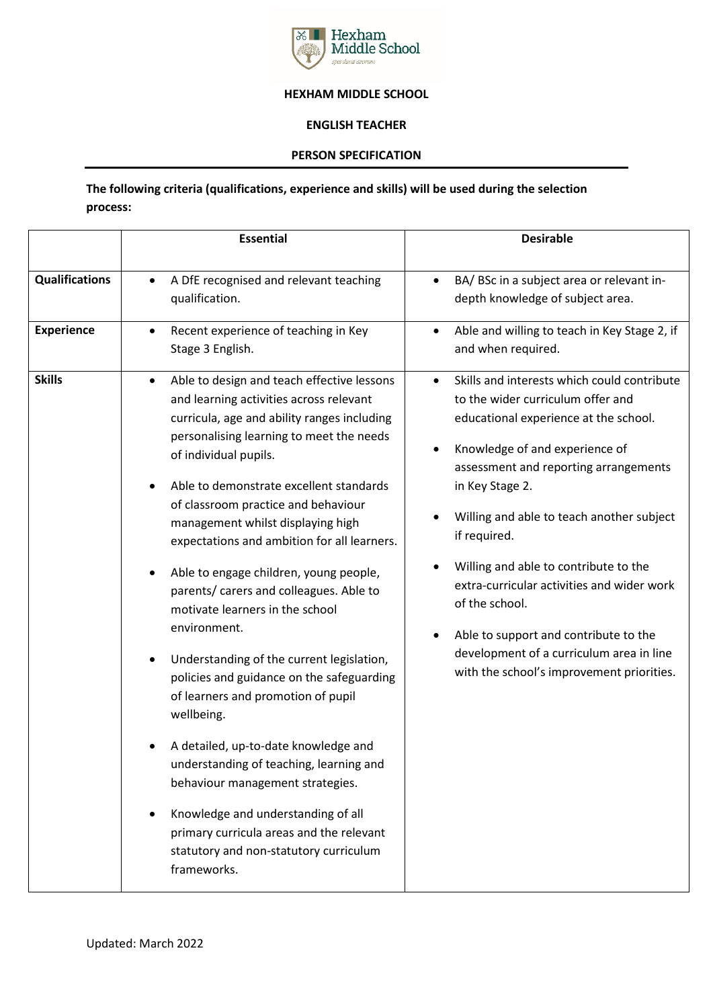

## **HEXHAM MIDDLE SCHOOL**

## **ENGLISH TEACHER**

## **PERSON SPECIFICATION**

**The following criteria (qualifications, experience and skills) will be used during the selection process:** 

|                                            | <b>Essential</b>                                                                                                                                                                                                                                                                                                                                                                                                                                                                                                                                                                                                                                                                                                                                                                                                                                                                                                                        | <b>Desirable</b>                                                                                                                                                                                                                                                                                                                                                                                                                                                                                                                             |
|--------------------------------------------|-----------------------------------------------------------------------------------------------------------------------------------------------------------------------------------------------------------------------------------------------------------------------------------------------------------------------------------------------------------------------------------------------------------------------------------------------------------------------------------------------------------------------------------------------------------------------------------------------------------------------------------------------------------------------------------------------------------------------------------------------------------------------------------------------------------------------------------------------------------------------------------------------------------------------------------------|----------------------------------------------------------------------------------------------------------------------------------------------------------------------------------------------------------------------------------------------------------------------------------------------------------------------------------------------------------------------------------------------------------------------------------------------------------------------------------------------------------------------------------------------|
| <b>Qualifications</b><br><b>Experience</b> | A DfE recognised and relevant teaching<br>qualification.<br>Recent experience of teaching in Key<br>$\bullet$<br>Stage 3 English.                                                                                                                                                                                                                                                                                                                                                                                                                                                                                                                                                                                                                                                                                                                                                                                                       | BA/ BSc in a subject area or relevant in-<br>$\bullet$<br>depth knowledge of subject area.<br>Able and willing to teach in Key Stage 2, if<br>$\bullet$<br>and when required.                                                                                                                                                                                                                                                                                                                                                                |
| <b>Skills</b>                              | Able to design and teach effective lessons<br>and learning activities across relevant<br>curricula, age and ability ranges including<br>personalising learning to meet the needs<br>of individual pupils.<br>Able to demonstrate excellent standards<br>of classroom practice and behaviour<br>management whilst displaying high<br>expectations and ambition for all learners.<br>Able to engage children, young people,<br>parents/ carers and colleagues. Able to<br>motivate learners in the school<br>environment.<br>Understanding of the current legislation,<br>policies and guidance on the safeguarding<br>of learners and promotion of pupil<br>wellbeing.<br>A detailed, up-to-date knowledge and<br>understanding of teaching, learning and<br>behaviour management strategies.<br>Knowledge and understanding of all<br>primary curricula areas and the relevant<br>statutory and non-statutory curriculum<br>frameworks. | Skills and interests which could contribute<br>$\bullet$<br>to the wider curriculum offer and<br>educational experience at the school.<br>Knowledge of and experience of<br>assessment and reporting arrangements<br>in Key Stage 2.<br>Willing and able to teach another subject<br>if required.<br>Willing and able to contribute to the<br>extra-curricular activities and wider work<br>of the school.<br>Able to support and contribute to the<br>development of a curriculum area in line<br>with the school's improvement priorities. |